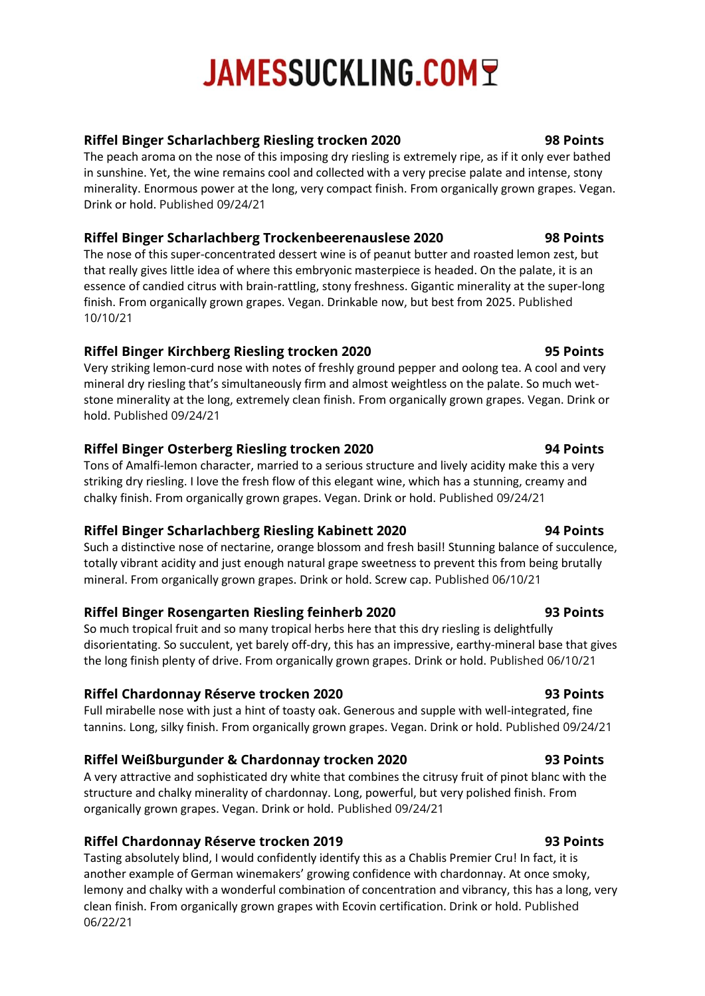# **JAMESSUCKLING.COMT**

# **Riffel Binger Scharlachberg Riesling trocken 2020 98 Points**

The peach aroma on the nose of this imposing dry riesling is extremely ripe, as if it only ever bathed in sunshine. Yet, the wine remains cool and collected with a very precise palate and intense, stony minerality. Enormous power at the long, very compact finish. From organically grown grapes. Vegan. Drink or hold. Published 09/24/21

### **Riffel Binger Scharlachberg Trockenbeerenauslese 2020 98 Points**

The nose of this super-concentrated dessert wine is of peanut butter and roasted lemon zest, but that really gives little idea of where this embryonic masterpiece is headed. On the palate, it is an essence of candied citrus with brain-rattling, stony freshness. Gigantic minerality at the super-long finish. From organically grown grapes. Vegan. Drinkable now, but best from 2025. Published 10/10/21

# **Riffel Binger Kirchberg Riesling trocken 2020 95 Points**

Very striking lemon-curd nose with notes of freshly ground pepper and oolong tea. A cool and very mineral dry riesling that's simultaneously firm and almost weightless on the palate. So much wetstone minerality at the long, extremely clean finish. From organically grown grapes. Vegan. Drink or hold. Published 09/24/21

# **Riffel Binger Osterberg Riesling trocken 2020 94 Points**

Tons of Amalfi-lemon character, married to a serious structure and lively acidity make this a very striking dry riesling. I love the fresh flow of this elegant wine, which has a stunning, creamy and chalky finish. From organically grown grapes. Vegan. Drink or hold. Published 09/24/21

# **[Riffel Binger Scharlachberg Riesling Kabinett 2020](https://www.jamessuckling.com/tasting-notes/138289/riffel-riesling-rheinhessen-scharlachberg-spatlese-2019) 94 Points**

Such a distinctive nose of nectarine, orange blossom and fresh basil! Stunning balance of succulence, totally vibrant acidity and just enough natural grape sweetness to prevent this from being brutally mineral. From organically grown grapes. Drink or hold. Screw cap. Published 06/10/21

# **Riffel Binger [Rosengarten](https://www.jamessuckling.com/tasting-notes/137954/riffel-riesling-rheinhessen-scharlachberg-beerenauslese-2019) Riesling feinherb 2020 93 Points**

So much tropical fruit and so many tropical herbs here that this dry riesling is delightfully disorientating. So succulent, yet barely off-dry, this has an impressive, earthy-mineral base that gives the long finish plenty of drive. From organically grown grapes. Drink or hold. Published 06/10/21

# **Riffel Chardonnay Réserve trocken 2020 93 Points**

Full mirabelle nose with just a hint of toasty oak. Generous and supple with well-integrated, fine tannins. Long, silky finish. From organically grown grapes. Vegan. Drink or hold. Published 09/24/21

# **Riffel Weißburgunder & Chardonnay trocken 2020 93 Points**

A very attractive and sophisticated dry white that combines the citrusy fruit of pinot blanc with the structure and chalky minerality of chardonnay. Long, powerful, but very polished finish. From organically grown grapes. Vegan. Drink or hold. Published 09/24/21

# **Riffel Chardonnay Réserve trocken 2019 93 Points**

Tasting absolutely blind, I would confidently identify this as a Chablis Premier Cru! In fact, it is another example of German winemakers' growing confidence with chardonnay. At once smoky, lemony and chalky with a wonderful combination of concentration and vibrancy, this has a long, very clean finish. From organically grown grapes with Ecovin certification. Drink or hold. Published 06/22/21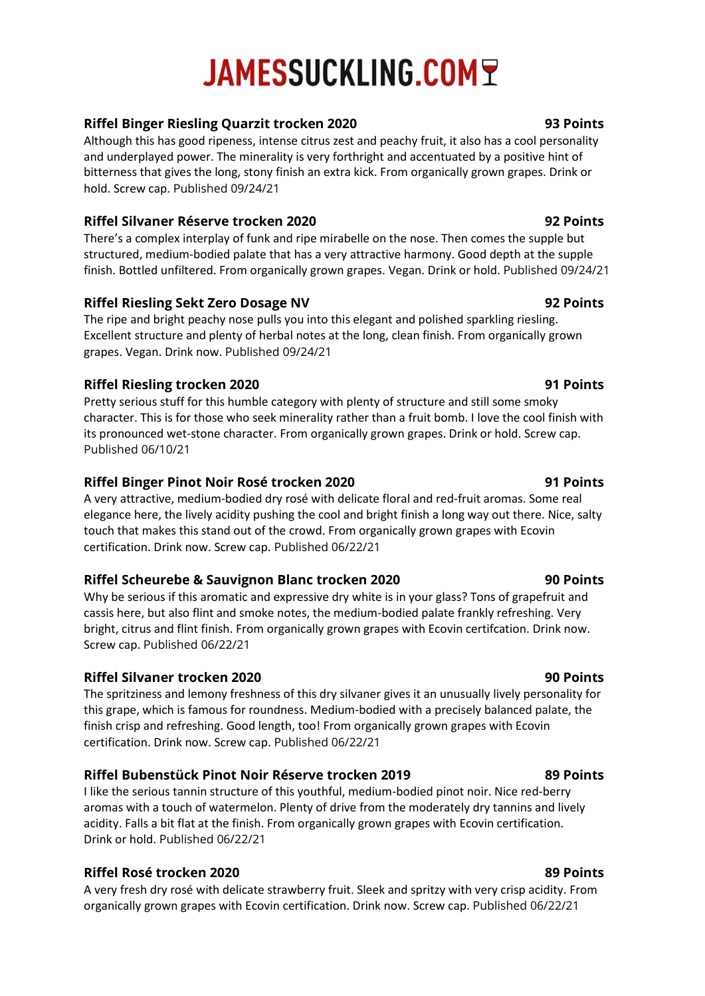# **JAMESSUCKLING.COMT**

### **Riffel Binger Riesling Quarzit trocken 2020 93 Points**

Although this has good ripeness, intense citrus zest and peachy fruit, it also has a cool personality and underplayed power. The minerality is very forthright and accentuated by a positive hint of bitterness that gives the long, stony finish an extra kick. From organically grown grapes. Drink or hold. Screw cap. Published 09/24/21

### **Riffel Silvaner Réserve trocken 2020 92 Points**

There's a complex interplay of funk and ripe mirabelle on the nose. Then comes the supple but structured, medium-bodied palate that has a very attractive harmony. Good depth at the supple finish. Bottled unfiltered. From organically grown grapes. Vegan. Drink or hold. Published 09/24/21

### **Riffel Riesling Sekt Zero Dosage NV 92 Points**

The ripe and bright peachy nose pulls you into this elegant and polished sparkling riesling. Excellent structure and plenty of herbal notes at the long, clean finish. From organically grown grapes. Vegan. Drink now. Published 09/24/21

### **[Riffel Riesling trocken 2020](https://www.jamessuckling.com/tasting-notes/138027/riffel-riesling-rheinhessen-scharlachberg-trocken-2019) 91 Points**

Pretty serious stuff for this humble category with plenty of structure and still some smoky character. This is for those who seek minerality rather than a fruit bomb. I love the cool finish with its pronounced wet-stone character. From organically grown grapes. Drink or hold. Screw cap. Published 06/10/21

### **Riffel Binger Pinot Noir Rosé trocken 2020 91 Points**

A very attractive, medium-bodied dry rosé with delicate floral and red-fruit aromas. Some real elegance here, the lively acidity pushing the cool and bright finish a long way out there. Nice, salty touch that makes this stand out of the crowd. From organically grown grapes with Ecovin certification. Drink now. Screw cap. Published 06/22/21

### **Riffel Scheurebe & Sauvignon Blanc trocken 2020 90 Points**

Why be serious if this aromatic and expressive dry white is in your glass? Tons of grapefruit and cassis here, but also flint and smoke notes, the medium-bodied palate frankly refreshing. Very bright, citrus and flint finish. From organically grown grapes with Ecovin certifcation. Drink now. Screw cap. Published 06/22/21

### **Riffel Silvaner trocken 2020 90 Points**

The spritziness and lemony freshness of this dry silvaner gives it an unusually lively personality for this grape, which is famous for roundness. Medium-bodied with a precisely balanced palate, the finish crisp and refreshing. Good length, too! From organically grown grapes with Ecovin certification. Drink now. Screw cap. Published 06/22/21

### **Riffel Bubenstück Pinot Noir Réserve trocken 2019 89 Points**

I like the serious tannin structure of this youthful, medium-bodied pinot noir. Nice red-berry aromas with a touch of watermelon. Plenty of drive from the moderately dry tannins and lively acidity. Falls a bit flat at the finish. From organically grown grapes with Ecovin certification. Drink or hold. Published 06/22/21

### **Riffel Rosé trocken 2020 89 Points**

A very fresh dry rosé with delicate strawberry fruit. Sleek and spritzy with very crisp acidity. From organically grown grapes with Ecovin certification. Drink now. Screw cap. Published 06/22/21